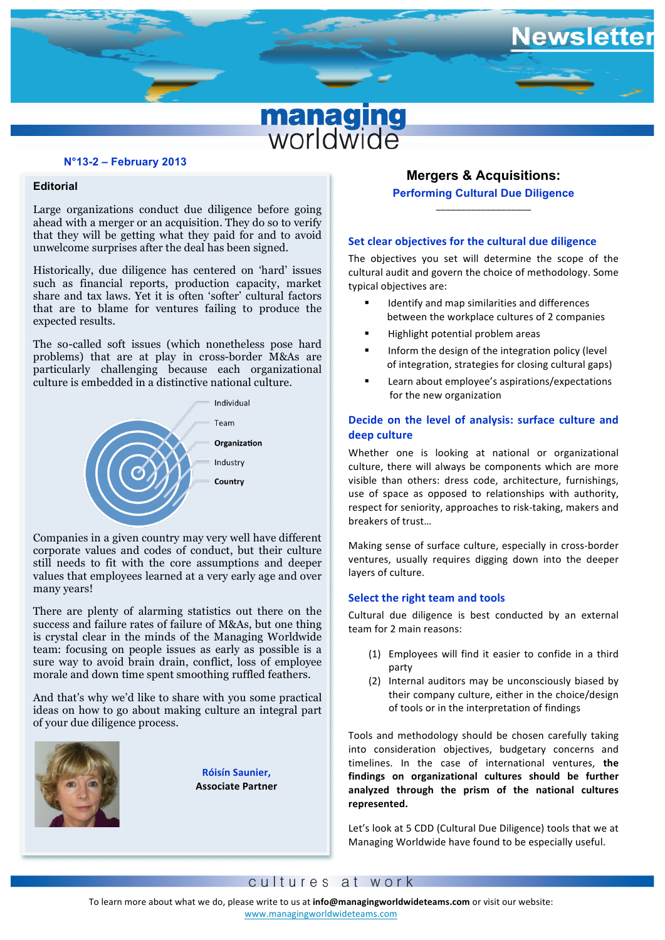# **managing**<br>worldwide

## **N°13-2 – February 2013**

# **Editorial**

**The U.S. In the computation** of the computation of the computation of the computation of the computation of the computation of the computation of the computation of the computation of the computation of the computation of Large organizations conduct due diligence before going ahead with a merger or an acquisition. They do so to verify unwelcome surprises after the deal has been signed.

such as financial reports, production capacity, market  share and tax laws. Yet it is often 'softer' cultural factors **fjkjfjhfkkk** expected results. Historically, due diligence has centered on 'hard' issues that are to blame for ventures failing to produce the

The so-called soft issues (which nonetheless pose hard problems) that are at play in cross-border M&As are particularly challenging because each organizational culture is embedded in a distinctive national culture.



Companies in a given country may very well have different corporate values and codes of conduct, but their culture still needs to fit with the core assumptions and deeper values that employees learned at a very early age and over many years!

There are plenty of alarming statistics out there on the success and failure rates of failure of M&As, but one thing is crystal clear in the minds of the Managing Worldwide team: focusing on people issues as early as possible is a sure way to avoid brain drain, conflict, loss of employee morale and down time spent smoothing ruffled feathers.

And that's why we'd like to share with you some practical ideas on how to go about making culture an integral part of your due diligence process.



**Róisín Saunier, Associate Partner**

# **Mergers & Acquisitions: Performing Cultural Due Diligence** \_\_\_\_\_\_\_\_\_\_\_\_\_\_\_\_\_\_\_

ewslette

## **Set clear objectives for the cultural due diligence**

The objectives you set will determine the scope of the cultural audit and govern the choice of methodology. Some typical objectives are:

- Identify and map similarities and differences between the workplace cultures of 2 companies
- Highlight potential problem areas
- Inform the design of the integration policy (level) of integration, strategies for closing cultural gaps)
- Learn about employee's aspirations/expectations for the new organization

# **Decide on the level of analysis: surface culture and deep culture**

Whether one is looking at national or organizational culture, there will always be components which are more visible than others: dress code, architecture, furnishings, use of space as opposed to relationships with authority, respect for seniority, approaches to risk-taking, makers and breakers of trust...

Making sense of surface culture, especially in cross-border ventures, usually requires digging down into the deeper layers of culture.

## **Select the right team and tools**

Cultural due diligence is best conducted by an external team for 2 main reasons:

- (1) Employees will find it easier to confide in a third party
- (2) Internal auditors may be unconsciously biased by their company culture, either in the choice/design of tools or in the interpretation of findings

Tools and methodology should be chosen carefully taking into consideration objectives, budgetary concerns and timelines. In the case of international ventures, the findings on organizational cultures should be further **analyzed through the prism of the national cultures represented.** 

Let's look at 5 CDD (Cultural Due Diligence) tools that we at Managing Worldwide have found to be especially useful.

## cultures at work

www.managingworldwideteams.com